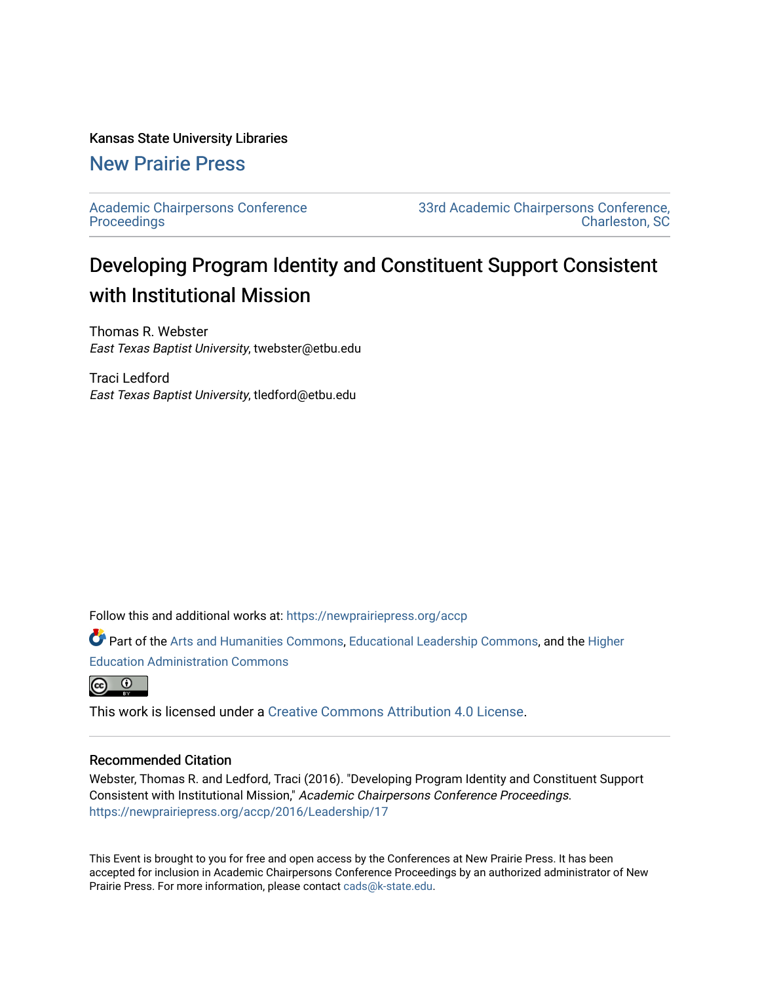## Kansas State University Libraries

## [New Prairie Press](https://newprairiepress.org/)

[Academic Chairpersons Conference](https://newprairiepress.org/accp)  **Proceedings** 

[33rd Academic Chairpersons Conference,](https://newprairiepress.org/accp/2016)  [Charleston, SC](https://newprairiepress.org/accp/2016) 

## Developing Program Identity and Constituent Support Consistent with Institutional Mission

Thomas R. Webster East Texas Baptist University, twebster@etbu.edu

Traci Ledford East Texas Baptist University, tledford@etbu.edu

Follow this and additional works at: [https://newprairiepress.org/accp](https://newprairiepress.org/accp?utm_source=newprairiepress.org%2Faccp%2F2016%2FLeadership%2F17&utm_medium=PDF&utm_campaign=PDFCoverPages) 

Part of the [Arts and Humanities Commons,](http://network.bepress.com/hgg/discipline/438?utm_source=newprairiepress.org%2Faccp%2F2016%2FLeadership%2F17&utm_medium=PDF&utm_campaign=PDFCoverPages) [Educational Leadership Commons,](http://network.bepress.com/hgg/discipline/1230?utm_source=newprairiepress.org%2Faccp%2F2016%2FLeadership%2F17&utm_medium=PDF&utm_campaign=PDFCoverPages) and the [Higher](http://network.bepress.com/hgg/discipline/791?utm_source=newprairiepress.org%2Faccp%2F2016%2FLeadership%2F17&utm_medium=PDF&utm_campaign=PDFCoverPages) [Education Administration Commons](http://network.bepress.com/hgg/discipline/791?utm_source=newprairiepress.org%2Faccp%2F2016%2FLeadership%2F17&utm_medium=PDF&utm_campaign=PDFCoverPages) 



This work is licensed under a [Creative Commons Attribution 4.0 License](https://creativecommons.org/licenses/by/4.0/).

## Recommended Citation

Webster, Thomas R. and Ledford, Traci (2016). "Developing Program Identity and Constituent Support Consistent with Institutional Mission," Academic Chairpersons Conference Proceedings. <https://newprairiepress.org/accp/2016/Leadership/17>

This Event is brought to you for free and open access by the Conferences at New Prairie Press. It has been accepted for inclusion in Academic Chairpersons Conference Proceedings by an authorized administrator of New Prairie Press. For more information, please contact [cads@k-state.edu.](mailto:cads@k-state.edu)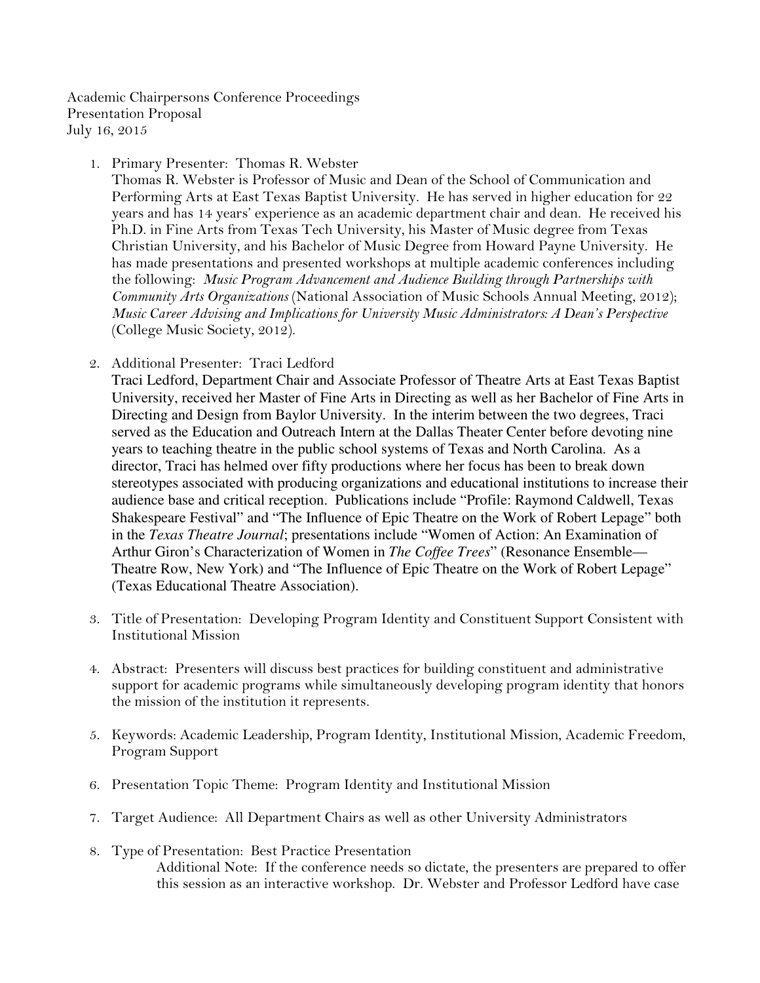Academic Chairpersons Conference Proceedings Presentation Proposal July 16, 2015

1. Primary Presenter: Thomas R. Webster

Thomas R. Webster is Professor of Music and Dean of the School of Communication and Performing Arts at East Texas Baptist University. He has served in higher education for 22 years and has 14 years' experience as an academic department chair and dean. He received his Ph.D. in Fine Arts from Texas Tech University, his Master of Music degree from Texas Christian University, and his Bachelor of Music Degree from Howard Payne University. He has made presentations and presented workshops at multiple academic conferences including the following: Music Program Advancement and Audience Building through Partnerships with Community Arts Organizations (National Association of Music Schools Annual Meeting, 2012); Music Career Advising and Implications for University Music Administrators: A Dean's Perspective (College Music Society, 2012).

2. Additional Presenter: Traci Ledford

Traci Ledford, Department Chair and Associate Professor of Theatre Arts at East Texas Baptist University, received her Master of Fine Arts in Directing as well as her Bachelor of Fine Arts in Directing and Design from Baylor University. In the interim between the two degrees, Traci served as the Education and Outreach Intern at the Dallas Theater Center before devoting nine years to teaching theatre in the public school systems of Texas and North Carolina. As a director, Traci has helmed over fifty productions where her focus has been to break down stereotypes associated with producing organizations and educational institutions to increase their audience base and critical reception. Publications include "Profile: Raymond Caldwell, Texas Shakespeare Festival" and "The Influence of Epic Theatre on the Work of Robert Lepage" both in the *Texas Theatre Journal*; presentations include "Women of Action: An Examination of Arthur Giron's Characterization of Women in *The Coffee Trees*" (Resonance Ensemble— Theatre Row, New York) and "The Influence of Epic Theatre on the Work of Robert Lepage" (Texas Educational Theatre Association).

- 3. Title of Presentation: Developing Program Identity and Constituent Support Consistent with Institutional Mission
- 4. Abstract: Presenters will discuss best practices for building constituent and administrative support for academic programs while simultaneously developing program identity that honors the mission of the institution it represents.
- 5. Keywords: Academic Leadership, Program Identity, Institutional Mission, Academic Freedom, Program Support
- 6. Presentation Topic Theme: Program Identity and Institutional Mission
- 7. Target Audience: All Department Chairs as well as other University Administrators
- 8. Type of Presentation: Best Practice Presentation Additional Note: If the conference needs so dictate, the presenters are prepared to offer this session as an interactive workshop. Dr. Webster and Professor Ledford have case